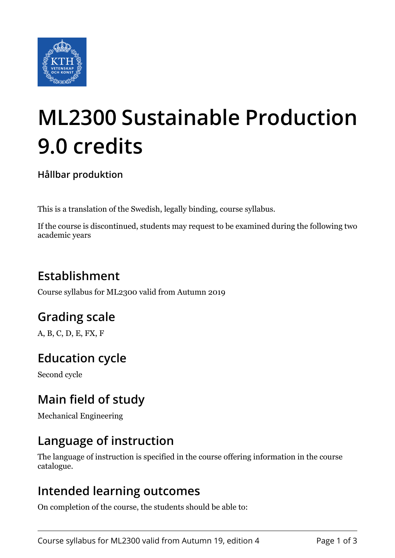

# **ML2300 Sustainable Production 9.0 credits**

#### **Hållbar produktion**

This is a translation of the Swedish, legally binding, course syllabus.

If the course is discontinued, students may request to be examined during the following two academic years

## **Establishment**

Course syllabus for ML2300 valid from Autumn 2019

## **Grading scale**

A, B, C, D, E, FX, F

## **Education cycle**

Second cycle

## **Main field of study**

Mechanical Engineering

## **Language of instruction**

The language of instruction is specified in the course offering information in the course catalogue.

### **Intended learning outcomes**

On completion of the course, the students should be able to: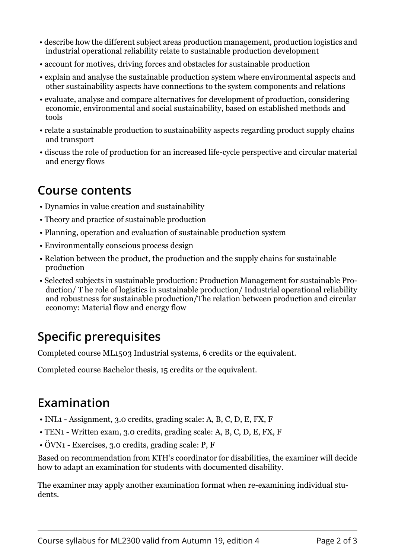- describe how the different subject areas production management, production logistics and industrial operational reliability relate to sustainable production development
- account for motives, driving forces and obstacles for sustainable production
- explain and analyse the sustainable production system where environmental aspects and other sustainability aspects have connections to the system components and relations
- evaluate, analyse and compare alternatives for development of production, considering economic, environmental and social sustainability, based on established methods and tools
- relate a sustainable production to sustainability aspects regarding product supply chains and transport
- discuss the role of production for an increased life-cycle perspective and circular material and energy flows

#### **Course contents**

- Dynamics in value creation and sustainability
- Theory and practice of sustainable production
- Planning, operation and evaluation of sustainable production system
- Environmentally conscious process design
- Relation between the product, the production and the supply chains for sustainable production
- Selected subjects in sustainable production: Production Management for sustainable Production/ T he role of logistics in sustainable production/ Industrial operational reliability and robustness for sustainable production/The relation between production and circular economy: Material flow and energy flow

## **Specific prerequisites**

Completed course ML1503 Industrial systems, 6 credits or the equivalent.

Completed course Bachelor thesis, 15 credits or the equivalent.

## **Examination**

- INL1 Assignment, 3.0 credits, grading scale: A, B, C, D, E, FX, F
- TEN1 Written exam, 3.0 credits, grading scale: A, B, C, D, E, FX, F
- ÖVN1 Exercises, 3.0 credits, grading scale: P, F

Based on recommendation from KTH's coordinator for disabilities, the examiner will decide how to adapt an examination for students with documented disability.

The examiner may apply another examination format when re-examining individual students.